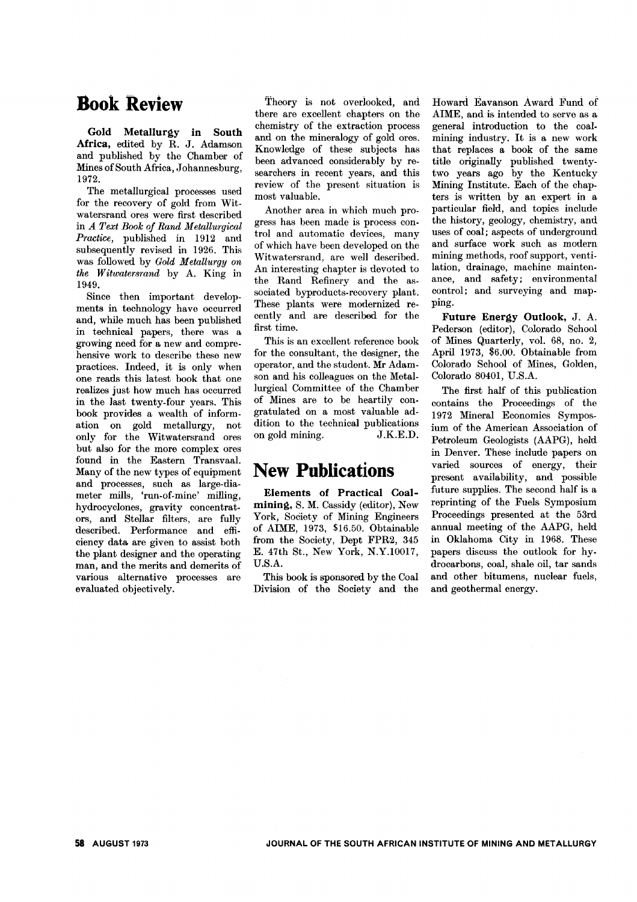# **Book Review**

Gold Metallurgy in South Africa, edited by R. J. Adamson and published by the Chamber of Mines of South Africa, Johannesburg, 1972.

The metallurgical processes used for the recovery of gold from Witwatersrand ores were first described in *A Text Book of Rand Metallurgical Practice,* published in 1912 and subsequently revised in 1926. This was followed by Gold Metallurgy on *the W itwatersrand* by A. King in 1949.

Since then important developments in technology have occurred and, while much has been published in technical papers, there was a growing need for a new and comprehensive work to describe these new practices. Indeed, it is only when one reads this latest book that one realizes just how much has occurred in the last twenty-four years. This book provides a wealth of information on gold metallurgy, not only for the Witwatersrand ores but also for the more complex ores found in the Eastern Transvaal. Many of the new types of equipment and processes, such as large-diameter mills, 'run-of-mine' milling, hydrocyclones, gravity concentrators, and Stellar filters, are fully described. Performance and efficiency data are given to assist both the plant designer and the operating man, and the merits and demerits of various alternative processes are evaluated objectively.

Theory is not overiooked, and there are excellent chapters on the chemistry of the extraction process and on the mineralogy of gold ores. Knowledge of these subjects has been advanced considerably by researchers in recent years, and this review of the present situation is most valuable.

Another area in which much progress has been made is process control and automatic devices, many of which have been developed on the Witwatersrand, are well described. An interesting chapter is devoted to the Rand Refinery and the associated byproducts-recovery plant. These plants were modernized recently and are described for the first time.

This is an excellent reference book for the consultant, the designer, the operator, and the student. Mr Adamson and his colleagues on the Metallurgical Committee of the Chamber of Mines are to be heartily congratulated on a most valuable addition to the technical publications on gold mining. J.KE.D.

## **New Publications**

Elements of Practical Coalmining, S. M. Cassidy (editor), New York, Society of Mining Engineers of AIME, 1973, \$16.50. Obtainable from the Society, Dept FPR2, 345 E. 47th St., New York, N.Y.10017, D.S.A.

This book is sponsored by the Coal Division of the Society and the

Howard Eavanson Award Fund of AIME, and is intended to serve as a general introduction to the coalmining industry. It is a new work that replaces a book of the same title originally published twentytwo years ago by the Kentucky Mining Institute. Each of the chapters is written by an expert in a particular field, and topics include the history, geology, chemistry, and uses of coal; aspects of underground and surface work such as modern mining methods, roof support, ventilation, drainage, machine maintenance, and safety; environmental control; and surveying and mapping.

Future Energy Outlook, J. A. Pederson (editor), Colorado School of Mines Quarterly, vol. 68, no. 2, April 1973, \$6.00. Obtainable from Colorado School of Mines, Golden, Colorado 80401, D.S.A.

The first half of this publication contains the Proceedings of the 1972 Mineral Economics Symposium of the American Association of Petroleum Geologists (AAPG), held in Denver. These include papers on varied sources of energy, their present availability, and possible future supplies. The second half is a reprinting of the Fuels Symposium Proceedings presented at the 53rd annual meeting of the AAPG, held in Oklahoma City in 1968. These papers discuss the outlook for hydrocarbons, coal, shale oil, tar sands and other bitumens, nuclear fuels, and geothermal energy.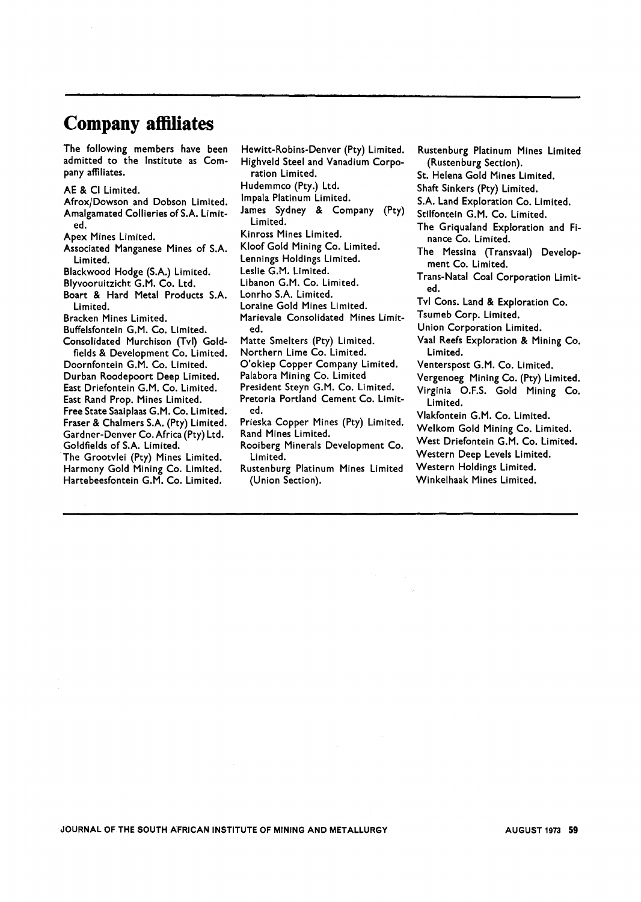# **Company affiliates**

The following members have been admitted to the Institute as Company affiliates.

AE & Cl Limited.

AfroxjDowson and Dobson Limited. Amalgamated Collieries of S.A. Limited.

Apex Mines Limited.

- Associated Manganese Mines of S.A. Limited.
- Blackwood Hodge (S.A.) Limited.
- Blyvooruitzicht G.M. Co. Ltd.
- Boart & Hard Metal Products S.A. Limited.

Bracken Mines Limited.

Buffelsfontein G.M. Co. Limited.

Consolidated Murchison (Tvl) Goldfields & Development Co. Limited. Doornfontein G.M. Co. Limited. Durban Roodepoort Deep Limited. East Driefontein G.M. Co. Limited. East Rand Prop. Mines Limited. Free State Saaiplaas G.M. Co. Limited. Fraser & Chalmers S.A. (Pty) Limited. Gardner-Denver Co. Africa (Pty) Ltd. Goldfields of S.A. Limited. The Grootvlei (Pty) Mines Limited. Harmony Gold Mining Co. Limited. Hartebeesfontein G.M. Co. Limited.

Hewitt-Robins-Denver (Pty) Limited. Highveld Steel and Vanadium Corporation Limited. Hudemmco (Pty.) Ltd. Impala Platinum Limited. James Sydney & Company (Pty) Limited. Kinross Mines Limited. Kloof Gold Mining Co. Limited. Lennings Holdings Limited. Leslie G.M. Limited. Libanon G.M. Co. Limited. Lonrho S.A. Limited. Loraine Gold Mines Limited. Marievale Consolidated Mines Limited. Matte Smelters (Pty) Limited. Northern Lime Co. Limited. O'okiep Copper Company Limited. Palabora Mining Co. Limited President Steyn G.M. Co. Limited.

Pretoria Portland Cement Co. Limited.

Prieska Copper Mines (Pty) Limited. Rand Mines Limited.

- Rooiberg Minerals Development Co. Limited.
- Rustenburg Platinum Mines Limited (Union Section).

Rustenburg Platinum Mines Limited (Rustenburg Section). St. Helena Gold Mines Limited. Shaft Sinkers (Pty) Limited. S.A. Land Exploration Co. Limited. Stilfontein G.M. Co. Limited. The Griqualand Exploration and Finance Co. Limited. The Messina (Transvaal) Development Co. Limited. Trans-Natal Coal Corporation Limited. Tvl Cons. Land & Exploration Co. Tsumeb Corp. Limited. Union Corporation Limited. Vaal Reefs Exploration & Mining Co. Limited. Venterspost G.M. Co. Limited. Vergenoeg Mining Co. (Pty) Limited. Virginia O.F.S. Gold Mining Co. Limited. Vlakfontein G.M. Co. Limited. Welkom Gold Mining Co. Limited. West Driefontein G.M. Co. Limited. Western Deep Levels Limited. Western Holdings Limited. Winkelhaak Mines Limited.